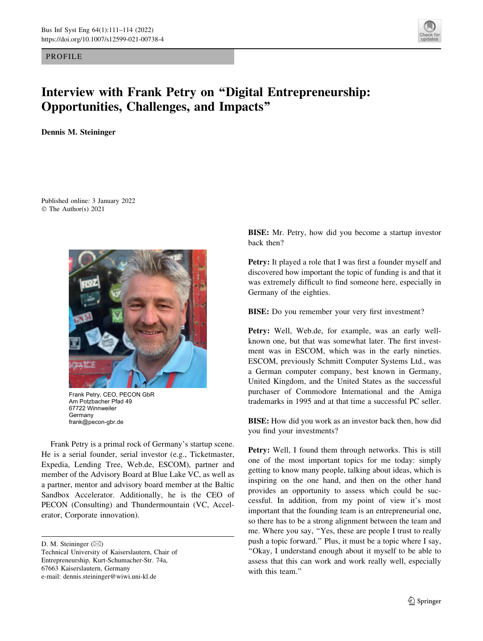PROFILE



## Interview with Frank Petry on ''Digital Entrepreneurship: Opportunities, Challenges, and Impacts''

Dennis M. Steininger

Published online: 3 January 2022 © The Author(s) 2021



Frank Petry, CEO, PECON GbR Am Potzbacher Pfad 49 67722 Winnweiler Germany frank@pecon-gbr.de

Frank Petry is a primal rock of Germany's startup scene. He is a serial founder, serial investor (e.g., Ticketmaster, Expedia, Lending Tree, Web.de, ESCOM), partner and member of the Advisory Board at Blue Lake VC, as well as a partner, mentor and advisory board member at the Baltic Sandbox Accelerator. Additionally, he is the CEO of PECON (Consulting) and Thundermountain (VC, Accelerator, Corporate innovation).

D. M. Steininger  $(\boxtimes)$ 

BISE: Mr. Petry, how did you become a startup investor back then?

Petry: It played a role that I was first a founder myself and discovered how important the topic of funding is and that it was extremely difficult to find someone here, especially in Germany of the eighties.

BISE: Do you remember your very first investment?

Petry: Well, Web.de, for example, was an early wellknown one, but that was somewhat later. The first investment was in ESCOM, which was in the early nineties. ESCOM, previously Schmitt Computer Systems Ltd., was a German computer company, best known in Germany, United Kingdom, and the United States as the successful purchaser of Commodore International and the Amiga trademarks in 1995 and at that time a successful PC seller.

BISE: How did you work as an investor back then, how did you find your investments?

Petry: Well, I found them through networks. This is still one of the most important topics for me today: simply getting to know many people, talking about ideas, which is inspiring on the one hand, and then on the other hand provides an opportunity to assess which could be successful. In addition, from my point of view it's most important that the founding team is an entrepreneurial one, so there has to be a strong alignment between the team and me. Where you say, ''Yes, these are people I trust to really push a topic forward.'' Plus, it must be a topic where I say, ''Okay, I understand enough about it myself to be able to assess that this can work and work really well, especially with this team."

Technical University of Kaiserslautern, Chair of Entrepreneurship, Kurt-Schumacher-Str. 74a, 67663 Kaiserslautern, Germany e-mail: dennis.steininger@wiwi.uni-kl.de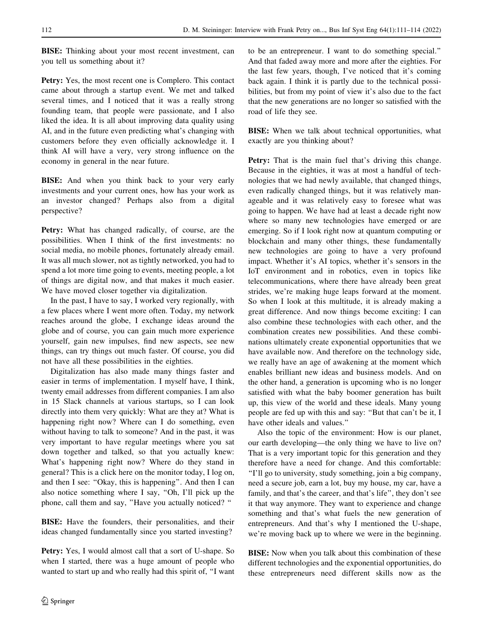BISE: Thinking about your most recent investment, can you tell us something about it?

Petry: Yes, the most recent one is Complero. This contact came about through a startup event. We met and talked several times, and I noticed that it was a really strong founding team, that people were passionate, and I also liked the idea. It is all about improving data quality using AI, and in the future even predicting what's changing with customers before they even officially acknowledge it. I think AI will have a very, very strong influence on the economy in general in the near future.

BISE: And when you think back to your very early investments and your current ones, how has your work as an investor changed? Perhaps also from a digital perspective?

Petry: What has changed radically, of course, are the possibilities. When I think of the first investments: no social media, no mobile phones, fortunately already email. It was all much slower, not as tightly networked, you had to spend a lot more time going to events, meeting people, a lot of things are digital now, and that makes it much easier. We have moved closer together via digitalization.

In the past, I have to say, I worked very regionally, with a few places where I went more often. Today, my network reaches around the globe, I exchange ideas around the globe and of course, you can gain much more experience yourself, gain new impulses, find new aspects, see new things, can try things out much faster. Of course, you did not have all these possibilities in the eighties.

Digitalization has also made many things faster and easier in terms of implementation. I myself have, I think, twenty email addresses from different companies. I am also in 15 Slack channels at various startups, so I can look directly into them very quickly: What are they at? What is happening right now? Where can I do something, even without having to talk to someone? And in the past, it was very important to have regular meetings where you sat down together and talked, so that you actually knew: What's happening right now? Where do they stand in general? This is a click here on the monitor today, I log on, and then I see: ''Okay, this is happening''. And then I can also notice something where I say, ''Oh, I'll pick up the phone, call them and say, ''Have you actually noticed? ''

BISE: Have the founders, their personalities, and their ideas changed fundamentally since you started investing?

Petry: Yes, I would almost call that a sort of U-shape. So when I started, there was a huge amount of people who wanted to start up and who really had this spirit of, ''I want to be an entrepreneur. I want to do something special.'' And that faded away more and more after the eighties. For the last few years, though, I've noticed that it's coming back again. I think it is partly due to the technical possibilities, but from my point of view it's also due to the fact that the new generations are no longer so satisfied with the road of life they see.

BISE: When we talk about technical opportunities, what exactly are you thinking about?

Petry: That is the main fuel that's driving this change. Because in the eighties, it was at most a handful of technologies that we had newly available, that changed things, even radically changed things, but it was relatively manageable and it was relatively easy to foresee what was going to happen. We have had at least a decade right now where so many new technologies have emerged or are emerging. So if I look right now at quantum computing or blockchain and many other things, these fundamentally new technologies are going to have a very profound impact. Whether it's AI topics, whether it's sensors in the IoT environment and in robotics, even in topics like telecommunications, where there have already been great strides, we're making huge leaps forward at the moment. So when I look at this multitude, it is already making a great difference. And now things become exciting: I can also combine these technologies with each other, and the combination creates new possibilities. And these combinations ultimately create exponential opportunities that we have available now. And therefore on the technology side, we really have an age of awakening at the moment which enables brilliant new ideas and business models. And on the other hand, a generation is upcoming who is no longer satisfied with what the baby boomer generation has built up, this view of the world and these ideals. Many young people are fed up with this and say: ''But that can't be it, I have other ideals and values.''

Also the topic of the environment: How is our planet, our earth developing—the only thing we have to live on? That is a very important topic for this generation and they therefore have a need for change. And this comfortable: ''I'll go to university, study something, join a big company, need a secure job, earn a lot, buy my house, my car, have a family, and that's the career, and that's life'', they don't see it that way anymore. They want to experience and change something and that's what fuels the new generation of entrepreneurs. And that's why I mentioned the U-shape, we're moving back up to where we were in the beginning.

BISE: Now when you talk about this combination of these different technologies and the exponential opportunities, do these entrepreneurs need different skills now as the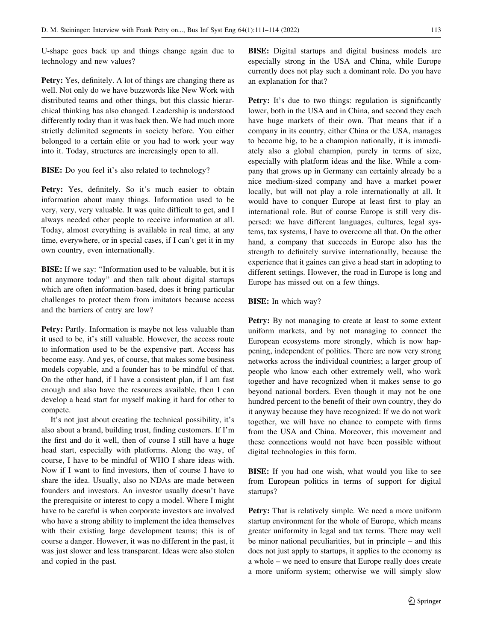U-shape goes back up and things change again due to technology and new values?

Petry: Yes, definitely. A lot of things are changing there as well. Not only do we have buzzwords like New Work with distributed teams and other things, but this classic hierarchical thinking has also changed. Leadership is understood differently today than it was back then. We had much more strictly delimited segments in society before. You either belonged to a certain elite or you had to work your way into it. Today, structures are increasingly open to all.

**BISE:** Do you feel it's also related to technology?

Petry: Yes, definitely. So it's much easier to obtain information about many things. Information used to be very, very, very valuable. It was quite difficult to get, and I always needed other people to receive information at all. Today, almost everything is available in real time, at any time, everywhere, or in special cases, if I can't get it in my own country, even internationally.

BISE: If we say: ''Information used to be valuable, but it is not anymore today'' and then talk about digital startups which are often information-based, does it bring particular challenges to protect them from imitators because access and the barriers of entry are low?

Petry: Partly. Information is maybe not less valuable than it used to be, it's still valuable. However, the access route to information used to be the expensive part. Access has become easy. And yes, of course, that makes some business models copyable, and a founder has to be mindful of that. On the other hand, if I have a consistent plan, if I am fast enough and also have the resources available, then I can develop a head start for myself making it hard for other to compete.

It's not just about creating the technical possibility, it's also about a brand, building trust, finding customers. If I'm the first and do it well, then of course I still have a huge head start, especially with platforms. Along the way, of course, I have to be mindful of WHO I share ideas with. Now if I want to find investors, then of course I have to share the idea. Usually, also no NDAs are made between founders and investors. An investor usually doesn't have the prerequisite or interest to copy a model. Where I might have to be careful is when corporate investors are involved who have a strong ability to implement the idea themselves with their existing large development teams; this is of course a danger. However, it was no different in the past, it was just slower and less transparent. Ideas were also stolen and copied in the past.

BISE: Digital startups and digital business models are especially strong in the USA and China, while Europe currently does not play such a dominant role. Do you have an explanation for that?

Petry: It's due to two things: regulation is significantly lower, both in the USA and in China, and second they each have huge markets of their own. That means that if a company in its country, either China or the USA, manages to become big, to be a champion nationally, it is immediately also a global champion, purely in terms of size, especially with platform ideas and the like. While a company that grows up in Germany can certainly already be a nice medium-sized company and have a market power locally, but will not play a role internationally at all. It would have to conquer Europe at least first to play an international role. But of course Europe is still very dispersed: we have different languages, cultures, legal systems, tax systems, I have to overcome all that. On the other hand, a company that succeeds in Europe also has the strength to definitely survive internationally, because the experience that it gaines can give a head start in adopting to different settings. However, the road in Europe is long and Europe has missed out on a few things.

## BISE: In which way?

Petry: By not managing to create at least to some extent uniform markets, and by not managing to connect the European ecosystems more strongly, which is now happening, independent of politics. There are now very strong networks across the individual countries; a larger group of people who know each other extremely well, who work together and have recognized when it makes sense to go beyond national borders. Even though it may not be one hundred percent to the benefit of their own country, they do it anyway because they have recognized: If we do not work together, we will have no chance to compete with firms from the USA and China. Moreover, this movement and these connections would not have been possible without digital technologies in this form.

BISE: If you had one wish, what would you like to see from European politics in terms of support for digital startups?

Petry: That is relatively simple. We need a more uniform startup environment for the whole of Europe, which means greater uniformity in legal and tax terms. There may well be minor national peculiarities, but in principle – and this does not just apply to startups, it applies to the economy as a whole – we need to ensure that Europe really does create a more uniform system; otherwise we will simply slow